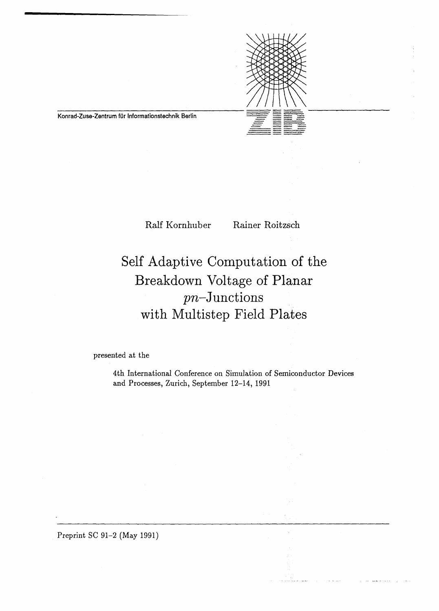

Konrad-Zuse-Zentrum für Informationstechnik Berlin

Ralf Kornhuber Rainer Roitzsch

 $\mathcal{L}(\mathbf{x})$  and

and a subsequently

# Seif Adaptive Computation of the Breakdown Voltage of Planar pn-Junctions with Multistep Field Plates

presented at the

4th International Conference on Simulation of Semiconductor Devices and Processes, Zurich, September 12-14, 1991

Preprint SC 91-2 (May 1991)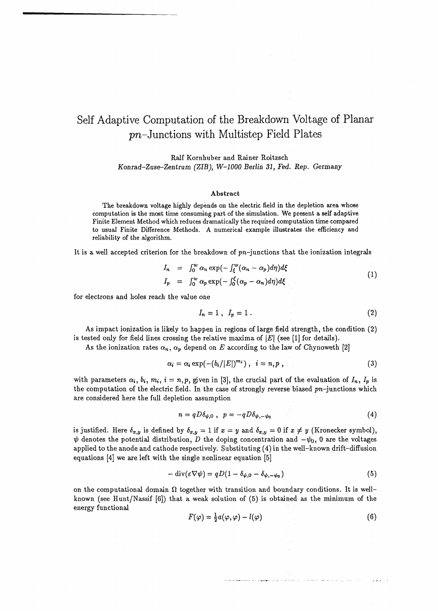# Self Adaptive Computation of the Breakdown Voltage of Planar pn-Junctions with Multistep Field Plates

Ralf Kornhuber and Rainer Roitzsch *Konrad-Zuse-Zentrum (ZIB), W-1000 Berlin 31, Fed. Rep. Germany* 

#### Abstract

The breakdown voltage highly depends on the electric field in the depletion area whose computation is the most time consuming part of the simulation. We present a self adaptive Finite Element Method which reduces dramatically the required computation time compared to usual Finite Difference Methods. A numerical example illustrates the efficiency and reliability of the algorithm.

It is a well accepted criterion for the breakdown of  $pn$ -junctions that the ionization integrals

$$
I_n = \int_0^w \alpha_n \exp\left(-\int_{\xi}^w (\alpha_n - \alpha_p) d\eta\right) d\xi
$$
  
\n
$$
I_p = \int_0^w \alpha_p \exp\left(-\int_0^{\xi} (\alpha_p - \alpha_n) d\eta\right) d\xi
$$
 (1)

for electrons and holes reach the value one

$$
I_n = 1 \ , \ I_p = 1 \ . \tag{2}
$$

As impact ionization is likely to happen in regions of large field strength, the condition (2) is tested only for field lines crossing the relative maxima of  $|E|$  (see [1] for details).

As the ionization rates  $\alpha_n$ ,  $\alpha_p$  depend on *E* according to the law of Chynoweth [2]

$$
\alpha_i = \alpha_i \exp(-(b_i/|E|)^{m_i}), \quad i = n, p \tag{3}
$$

with parameters  $\alpha_i$ ,  $b_i$ ,  $m_i$ ,  $i = n, p$ , given in [3], the crucial part of the evaluation of  $I_n$ ,  $I_p$  is the computation of the electric field. In the case of strongly reverse biased  $pn$ -junctions which are considered here the full depletion assumption

$$
n = q D \delta_{\psi,0} , p = -q D \delta_{\psi,-\psi_0}
$$
 (4)

is justified. Here  $\delta_{x,y}$  is defined by  $\delta_{x,y} = 1$  if  $x = y$  and  $\delta_{x,y} = 0$  if  $x \neq y$  (Kronecker symbol),  $\psi$  denotes the potential distribution, *D* the doping concentration and  $-\psi_0$ , 0 are the voltages applied to the anode and cathode respectively. Substituting (4) in the well-known drift-diffusion equations [4] we are left with the single nonlinear equation [5]

$$
- \operatorname{div}(\varepsilon \nabla \psi) = qD(1 - \delta_{\psi,0} - \delta_{\psi,-\psi_0})
$$
\n(5)

on the computational domain  $\Omega$  together with transition and boundary conditions. It is wellknown (see Hunt/Nassif [6]) that a weak solution of (5) is obtained as the minimum of the energy functional

$$
F(\varphi) = \frac{1}{2}a(\varphi, \varphi) - l(\varphi) \tag{6}
$$

الحيا الموضوع الإدار المتحدد المؤدي في المرات المواطن المستخدم الذي المستكفر والتواريخ الم<del>وادي والمستخدمات المستخدما</del>ت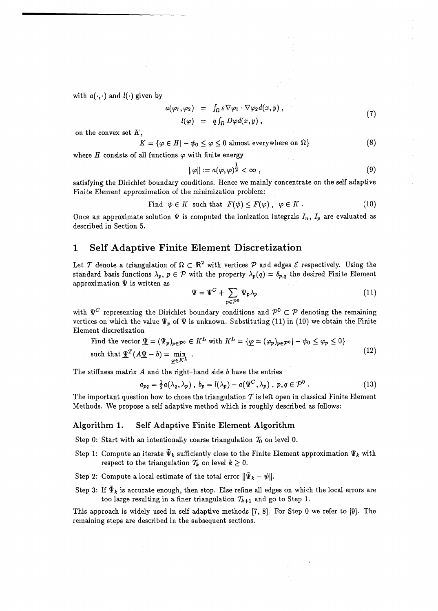with  $a(\cdot, \cdot)$  and  $l(\cdot)$  given by

$$
a(\varphi_1, \varphi_2) = \int_{\Omega} \varepsilon \nabla \varphi_1 \cdot \nabla \varphi_2 d(x, y),
$$
  
\n
$$
l(\varphi) = q \int_{\Omega} D\varphi d(x, y),
$$
\n(7)

on the convex set *K,* 

$$
K = \{ \varphi \in H | -\psi_0 \le \varphi \le 0 \text{ almost everywhere on } \Omega \}
$$
 (8)

where  $H$  consists of all functions  $\varphi$  with finite energy

$$
\|\varphi\| := a(\varphi, \varphi)^{\frac{1}{2}} < \infty , \qquad (9)
$$

satisfying the Dirichlet boundary conditions. Hence we mainly concentrate on the self adaptive Finite Element approximation of the minimization problem:

Find 
$$
\psi \in K
$$
 such that  $F(\psi) \leq F(\varphi)$ ,  $\varphi \in K$ . (10)

Once an approximate solution  $\Psi$  is computed the ionization integrals  $I_n$ ,  $I_p$  are evaluated as described in Section 5.

#### 1 Self Adaptive Finite Element Discretization

Let T denote a triangulation of  $\Omega \subset \mathbb{R}^2$  with vertices P and edges  $\mathcal E$  respectively. Using the standard basis functions  $\lambda_p$ ,  $p \in \mathcal{P}$  with the property  $\lambda_p(q) = \delta_{p,q}$  the desired Finite Element approximation  $\Psi$  is written as

$$
\Psi = \Psi^C + \sum_{p \in \mathcal{P}^0} \Psi_p \lambda_p \tag{11}
$$

with  $\Psi^C$  representing the Dirichlet boundary conditions and  $\mathcal{P}^0 \subset \mathcal{P}$  denoting the remaining vertices on which the value  $\Psi_p$  of  $\Psi$  is unknown. Substituting (11) in (10) we obtain the Finite Element discretization

Find the vector 
$$
\underline{\Psi} = (\Psi_p)_{p \in \mathcal{P}^0} \in K^L
$$
 with  $K^L = \{ \underline{\varphi} = (\varphi_p)_{p \in \mathcal{P}^0} | - \psi_0 \le \varphi_p \le 0 \}$  such that  $\underline{\Psi}^T (A \underline{\Psi} - b) = \min_{\varphi \in K^L}$ .  $(12)$ 

The stiffness matrix *A* and the right-hand side 6 have the entries

$$
a_{pq} = \frac{1}{2}a(\lambda_q, \lambda_p), \ b_p = l(\lambda_p) - a(\Psi^C, \lambda_p), \ p, q \in \mathcal{P}^0. \tag{13}
$$

The important question how to chose the triangulation  $T$  is left open in classical Finite Element Methods. We propose a self adaptive method which is roughly described as follows:

#### **Algorithm 1. Self Adaptive Finite Element Algorithm**

Step 0: Start with an intentionally coarse triangulation  $\mathcal{T}_0$  on level 0.

- Step 1: Compute an iterate  $\tilde{\Psi}_k$  sufficiently close to the Finite Element approximation  $\Psi_k$  with respect to the triangulation  $\mathcal{T}_k$  on level  $k \geq 0$ .
- Step 2: Compute a local estimate of the total error  $\|\tilde{\Psi}_k \psi\|$ .
- Step 3: If  $\tilde{\Psi}_k$  is accurate enough, then stop. Else refine all edges on which the local errors are too large resulting in a finer triangulation  $\mathcal{T}_{k+1}$  and go to Step 1.

This approach is widely used in self adaptive methods [7, 8]. For Step 0 we refer to [9]. The remaining steps are described in the subsequent sections.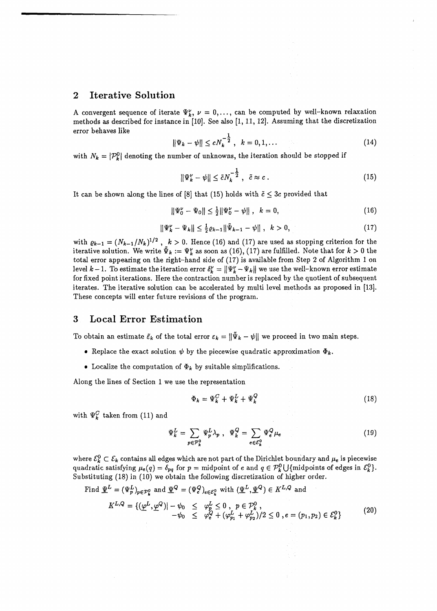## 2 Iterative Solution

A convergent sequence of iterate  $\Psi_k$ ,  $\nu = 0, \ldots$ , can be computed by well-known relaxation methods as described for instance in [10]. See also [1, 11, 12]. Assuming that the discretization error behaves like

$$
\|\Psi_k - \psi\| \le c N_k^{-\frac{1}{2}}, \quad k = 0, 1, \dots \tag{14}
$$

with  $N_k = |\mathcal{P}_k^0|$  denoting the number of unknowns, the iteration should be stopped if

$$
\|\Psi_k^{\nu} - \psi\| \le \tilde{c} N_k^{-\frac{1}{2}}, \quad \tilde{c} \approx c \,. \tag{15}
$$

It can be shown along the lines of [8] that (15) holds with  $\tilde{c} \leq 3c$  provided that

$$
\|\Psi_0^{\nu} - \Psi_0\| \le \frac{1}{2} \|\Psi_0^{\nu} - \psi\| \,, \quad k = 0,\tag{16}
$$

$$
\|\Psi_k^{\nu} - \Psi_k\| \le \frac{1}{2}\varrho_{k-1} \|\tilde{\Psi}_{k-1} - \psi\| \, , \quad k > 0, \tag{17}
$$

with  $\varrho_{k-1} = (N_{k-1}/N_k)^{1/2}$ ,  $k > 0$ . Hence (16) and (17) are used as stopping criterion for the iterative solution. We write  $\tilde{\Psi}_k := \Psi_k^{\nu}$  as soon as (16), (17) are fulfilled. Note that for  $k > 0$  the total error appearing on the right-hand side of (17) is available from Step 2 of Algorithm 1 on level  $k-1$ . To estimate the iteration error  $\delta_k^{\nu} = ||\Psi_k^{\nu} - \Psi_k||$  we use the well-known error estimate for fixed point iterations. Here the contraction number is replaced by the quotient of subsequent iterates. The iterative solution can be accelerated by multi level methods as proposed in [13]. These concepts will enter future revisions of the program.

# 3 Local Error Estimation

To obtain an estimate  $\tilde{\varepsilon}_k$  of the total error  $\varepsilon_k = \|\tilde{\Psi}_k - \psi\|$  we proceed in two main steps.

- Replace the exact solution  $\psi$  by the piecewise quadratic approximation  $\Phi_k$ .
- Localize the computation of  $\Phi_k$  by suitable simplifications.

Along the lines of Section 1 we use the representation

$$
\Phi_k = \Psi_k^C + \Psi_k^L + \Psi_k^Q \tag{18}
$$

with  $\Psi_{k}^{C}$  taken from (11) and

$$
\Psi_k^L = \sum_{p \in \mathcal{P}_k^0} \Psi_p^L \lambda_p \ , \ \Psi_k^Q = \sum_{e \in \mathcal{E}_k^0} \Psi_e^Q \mu_e \tag{19}
$$

where  $\mathcal{E}_{k}^{0} \subset \mathcal{E}_{k}$  contains all edges which are not part of the Dirichlet boundary and  $\mu_{e}$  is piecewise quadratic satisfying  $\mu_e(q) = \delta_{pq}$  for  $p =$  midpoint of e and  $q \in \mathcal{P}_k^0 \cup \{\text{midpoints of edges in } \mathcal{E}_k^0\}.$ Substituting (18) in (10) we obtain the following discretization of higher order.

Find 
$$
\underline{\Psi}^{L} = (\Psi_{p}^{L})_{p \in \mathcal{P}_{k}^{0}}
$$
 and  $\underline{\Psi}^{Q} = (\Psi_{e}^{Q})_{e \in \mathcal{E}_{k}^{0}}$  with  $(\underline{\Psi}^{L}, \underline{\Psi}^{Q}) \in K^{L,Q}$  and  
\n
$$
K^{L,Q} = \{ (\underline{\varphi}^{L}, \underline{\varphi}^{Q}) | - \psi_{0} \leq \varphi_{p}^{L} \leq 0, \quad p \in \mathcal{P}_{k}^{0}, -\psi_{0} \leq \varphi_{e}^{Q} + (\varphi_{p_{1}}^{L} + \varphi_{p_{2}}^{L}) / 2 \leq 0, e = (p_{1}, p_{2}) \in \mathcal{E}_{k}^{0} \}
$$
\n
$$
(20)
$$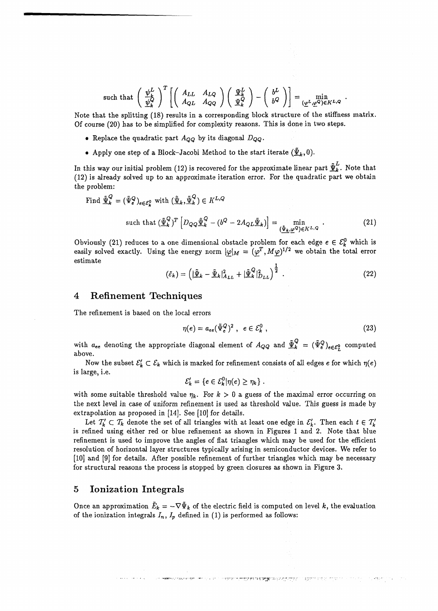such that 
$$
\left(\begin{array}{c} \psi_L^L \\ \psi_R^L \end{array}\right)^T \left[ \left( \begin{array}{cc} A_{LL} & A_{LQ} \\ A_{QL} & A_{QQ} \end{array} \right) \left( \begin{array}{c} \Psi_k^L \\ \Psi_k^Q \end{array} \right) - \left( \begin{array}{c} b^L \\ b^Q \end{array} \right) \right] = \min_{(\underline{\varphi}^L, \underline{\varphi}^Q) \in K^{L,Q}}
$$

Note that the splitting (18) results in a corresponding block structure of the stiffness matrix. Of course (20) has to be simplified for complexity reasons. This is done in two steps.

- Replace the quadratic part  $A_{OO}$  by its diagonal  $D_{OO}$ .
- Apply one step of a Block-Jacobi Method to the start iterate  $(\underline{\tilde{\Psi}}_k,0)$ .

In this way our initial problem (12) is recovered for the approximate linear part  $\tilde{\Psi}_{k}^{L}$ . Note that (12) is already solved up to an approximate iteration error. For the quadratic part we obtain the problem:

Find 
$$
\underline{\tilde{\Psi}}_k^Q = (\tilde{\Psi}_e^Q)_{e \in \mathcal{E}_k^0}
$$
 with  $(\underline{\tilde{\Psi}}_k, \underline{\tilde{\Psi}}_k^Q) \in K^{L,Q}$ 

such that 
$$
(\underline{\tilde{\Psi}}_k^Q)^T \left[ D_{QQ} \underline{\tilde{\Psi}}_k^Q - (b^Q - 2A_{QL} \underline{\tilde{\Psi}}_k) \right] = \min_{(\underline{\tilde{\Psi}}_k, \underline{\omega}^Q) \in K^{L,Q}}.
$$
 (21)

Obviously (21) reduces to a one dimensional obstacle problem for each edge  $e \in \mathcal{E}^0_k$  which is easily solved exactly. Using the energy norm  $|\varphi|_M = (\varphi^T, M\varphi)^{1/2}$  we obtain the total error estimate

$$
(\tilde{\varepsilon}_k) = \left( \left| \tilde{\underline{\Psi}}_k - \tilde{\underline{\Psi}}_k \right|^2_{A_{LL}} + \left| \tilde{\underline{\Psi}}_k^Q \right|^2_{D_{LL}} \right)^{\frac{1}{2}}.
$$
 (22)

#### 4 Refinement Techniques

The refinement is based on the local errors

$$
\eta(e) = a_{ee} (\tilde{\Psi}_e^Q)^2 \ , \ e \in \mathcal{E}_k^0 \ , \tag{23}
$$

নৰ <del>অসম</del>সমযোগ্যখন কৰা হ'ল লগত অসমতাৰ সৈত্যকে নিৰাজন্তু অনুসৰ্বে নৃত্যকৰ্মিক আৰম্ভ কৰি বিভিন্ন পৰিযুক্তি আৰম্ভ কৰি

with  $a_{ee}$  denoting the appropriate diagonal element of  $A_{QQ}$  and  $\tilde{\Psi}_{k}^{Q} = (\tilde{\Psi}_{e}^{Q})_{e \in E_{I}^{0}}$  computed above.

Now the subset  $\mathcal{E}'_k \subset \mathcal{E}_k$  which is marked for refinement consists of all edges e for which  $\eta(e)$ is large, i.e.

$$
\mathcal{E}'_k = \{e \in \mathcal{E}_k^0 | \eta(e) \geq \eta_k \} .
$$

with some suitable threshold value  $\eta_k$ . For  $k > 0$  a guess of the maximal error occurring on the next level in case of uniform refinement is used as threshold value. This guess is made by extrapolation as proposed in [14]. See [10] for details.

Let  $T'_{k} \subset T_{k}$  denote the set of all triangles with at least one edge in  $\mathcal{E}'_{k}$ *.* Then each  $t \in T'_{k}$ is refined using either red or blue refinement as shown in Figures 1 and 2. Note that blue refinement is used to improve the angles of flat triangles which may be used for the efficient resolution of horizontal layer structures typically arising in semiconductor devices. We refer to [10] and [9] for details. After possible refinement of further triangles which may be necessary for structural reasons the process is stopped by green closures as shown in Figure 3.

#### 5 Ionization Integrals

Once an approximation  $\tilde{E}_k = -\nabla \tilde{\Psi}_k$  of the electric field is computed on level k, the evaluation of the ionization integrals  $I_n$ ,  $I_p$  defined in (1) is performed as follows: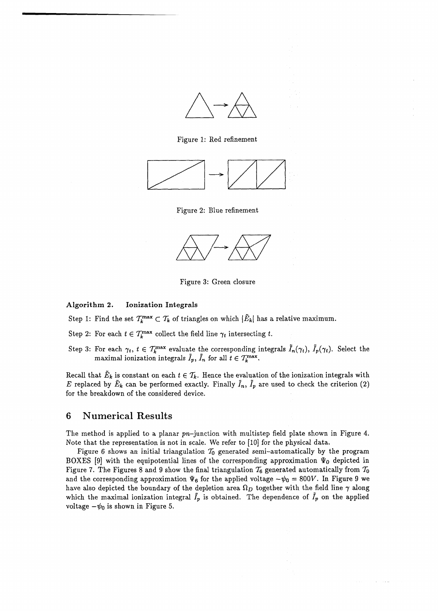

Figure 1: Red refinement



Figure 2: Blue refinement



Figure 3: Green closure

#### **Algorithm 2. Ionization Integrals**

Step 1: Find the set  $\mathcal{T}^{\max}_k \subset \mathcal{T}_k$  of triangles on which  $|\tilde{E}_k|$  has a relative maximum.

Step 2: For each  $t \in T_k^{\max}$  collect the field line  $\gamma_t$  intersecting  $t$ .

Step 3: For each  $\gamma_t, t \in \mathcal{T}^{\max}_k$  evaluate the corresponding integrals  $\tilde{I}_n(\gamma_t), \, \tilde{I}_p(\gamma_t).$  Select the maximal ionization integrals  $\tilde{I}_p$ ,  $\tilde{I}_n$  for all  $\tilde{t} \in \mathcal{T}_k^{\max}$ .

Recall that  $\tilde{E}_k$  is constant on each  $t \in \mathcal{T}_k$ . Hence the evaluation of the ionization integrals with E replaced by  $\tilde{E}_k$  can be performed exactly. Finally  $\tilde{I}_n$ ,  $\tilde{I}_p$  are used to check the criterion (2) for the breakdown of the considered device.

### 6 Numerical Results

The method is applied to a planar  $pn$ -junction with multistep field plate shown in Figure 4. Note that the representation is not in scale. We refer to [10] for the physical data.

Figure 6 shows an initial triangulation  $T_0$  generated semi-automatically by the program BOXES [9] with the equipotential lines of the corresponding approximation  $\Psi_0$  depicted in Figure 7. The Figures 8 and 9 show the final triangulation  $\mathcal{T}_6$  generated automatically from  $\mathcal{T}_0$ and the corresponding approximation  $\Psi_6$  for the applied voltage  $-\psi_0 = 800V$ . In Figure 9 we have also depicted the boundary of the depletion area  $\Omega_D$  together with the field line  $\gamma$  along which the maximal ionization integral  $I_p$  is obtained. The dependence of  $I_p$  on the applied voltage  $-\psi_0$  is shown in Figure 5.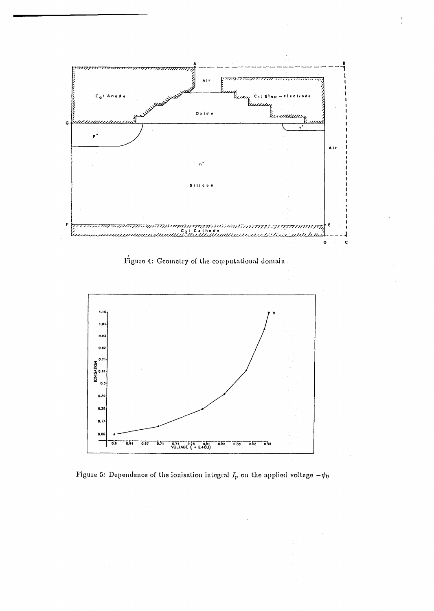

Figure 4: Geometry of the computational domain



Figure 5: Dependence of the ionisation integral  $I_p$  on the applied voltage  $-\psi_0$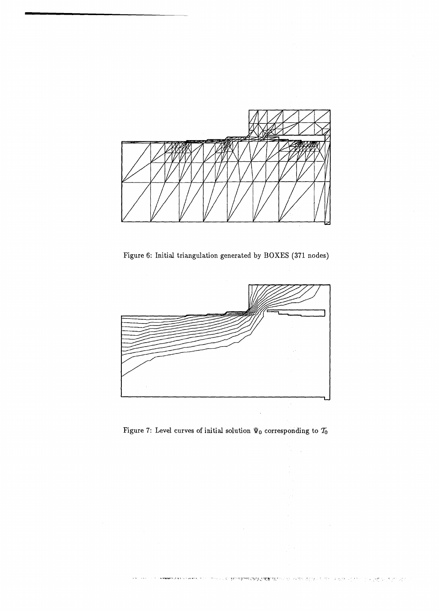

Figure 6: Initial triangulation generated by BOXES (371 nodes)



Figure 7: Level curves of initial solution  $\Psi_0$  corresponding to  $\mathcal{T}_0$ 

 $\Delta \phi$ 

 $\bar{\mathcal{A}}$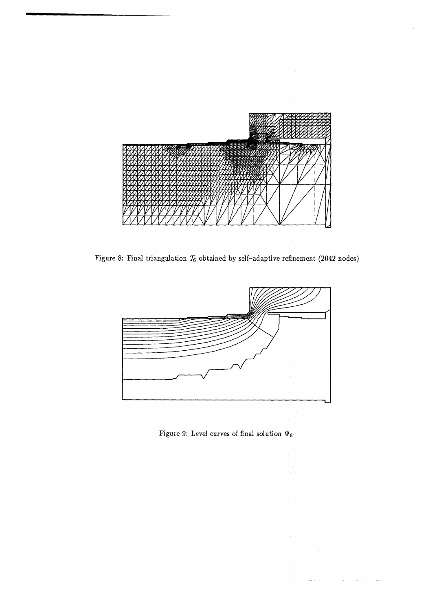

Figure 8: Final triangulation  $\mathcal{T}_6$  obtained by self-adaptive refinement (2042 nodes)

 $\bar{z}$ 



Figure 9: Level curves of final solution  $\Psi_6$ 

 $\bar{\mathcal{A}}$  .

and a string

المتواصله والمحارب والمنافر

والتواري والتفقيل